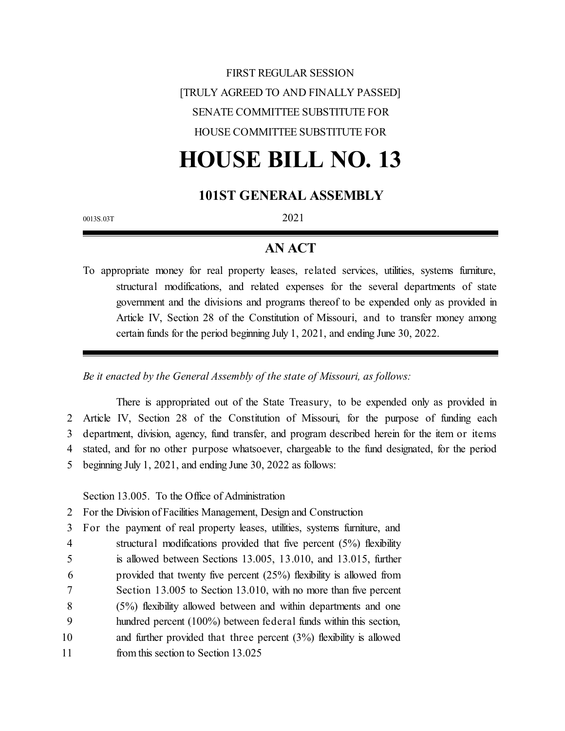# FIRST REGULAR SESSION [TRULY AGREED TO AND FINALLY PASSED] SENATE COMMITTEE SUBSTITUTE FOR HOUSE COMMITTEE SUBSTITUTE FOR

# **HOUSE BILL NO. 13**

#### **101ST GENERAL ASSEMBLY**

0013S.03T 2021

#### **AN ACT**

To appropriate money for real property leases, related services, utilities, systems furniture, structural modifications, and related expenses for the several departments of state government and the divisions and programs thereof to be expended only as provided in Article IV, Section 28 of the Constitution of Missouri, and to transfer money among certain funds for the period beginning July 1, 2021, and ending June 30, 2022.

*Be it enacted by the General Assembly of the state of Missouri, as follows:*

There is appropriated out of the State Treasury, to be expended only as provided in Article IV, Section 28 of the Constitution of Missouri, for the purpose of funding each department, division, agency, fund transfer, and program described herein for the item or items stated, and for no other purpose whatsoever, chargeable to the fund designated, for the period beginning July 1, 2021, and ending June 30, 2022 as follows:

Section 13.005. To the Office of Administration

2 For the Division of Facilities Management, Design and Construction

3 For the payment of real property leases, utilities, systems furniture, and

- 4 structural modifications provided that five percent (5%) flexibility 5 is allowed between Sections 13.005, 13.010, and 13.015, further
- 6 provided that twenty five percent (25%) flexibility is allowed from
- 7 Section 13.005 to Section 13.010, with no more than five percent
- 8 (5%) flexibility allowed between and within departments and one
- 9 hundred percent (100%) between federal funds within this section,
- 10 and further provided that three percent (3%) flexibility is allowed
- 11 from this section to Section 13.025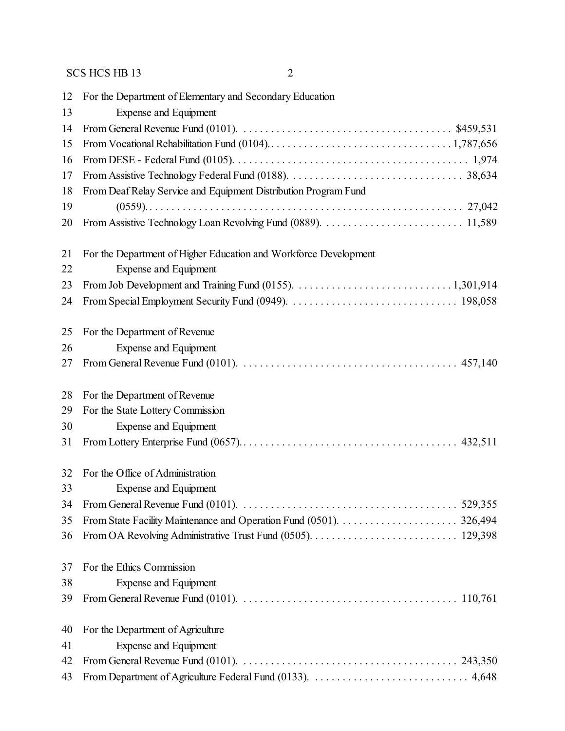| 12 | For the Department of Elementary and Secondary Education                                                                               |
|----|----------------------------------------------------------------------------------------------------------------------------------------|
| 13 | Expense and Equipment                                                                                                                  |
| 14 |                                                                                                                                        |
| 15 |                                                                                                                                        |
| 16 |                                                                                                                                        |
| 17 |                                                                                                                                        |
| 18 | From Deaf Relay Service and Equipment Distribution Program Fund                                                                        |
| 19 |                                                                                                                                        |
| 20 |                                                                                                                                        |
| 21 | For the Department of Higher Education and Workforce Development                                                                       |
| 22 | <b>Expense and Equipment</b>                                                                                                           |
| 23 |                                                                                                                                        |
| 24 |                                                                                                                                        |
| 25 | For the Department of Revenue                                                                                                          |
| 26 | Expense and Equipment                                                                                                                  |
| 27 |                                                                                                                                        |
| 28 | For the Department of Revenue                                                                                                          |
| 29 | For the State Lottery Commission                                                                                                       |
| 30 | Expense and Equipment                                                                                                                  |
| 31 |                                                                                                                                        |
| 32 | For the Office of Administration                                                                                                       |
| 33 | Expense and Equipment                                                                                                                  |
| 34 | From General Revenue Fund (0101). $\ldots \ldots \ldots \ldots \ldots \ldots \ldots \ldots \ldots \ldots \ldots \ldots \ldots$ 529,355 |
| 35 |                                                                                                                                        |
| 36 |                                                                                                                                        |
| 37 | For the Ethics Commission                                                                                                              |
| 38 | Expense and Equipment                                                                                                                  |
| 39 |                                                                                                                                        |
| 40 | For the Department of Agriculture                                                                                                      |
| 41 | <b>Expense and Equipment</b>                                                                                                           |
| 42 |                                                                                                                                        |
| 43 |                                                                                                                                        |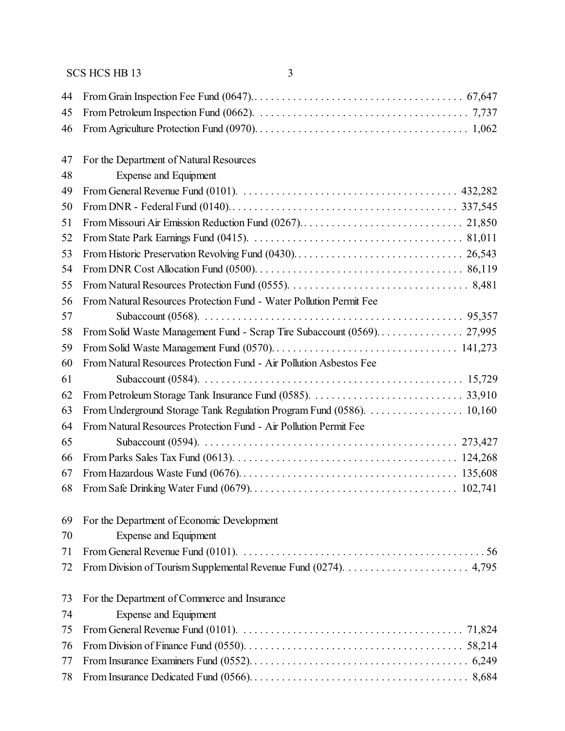| 44 |                                                                                                                                 |
|----|---------------------------------------------------------------------------------------------------------------------------------|
| 45 |                                                                                                                                 |
| 46 |                                                                                                                                 |
| 47 | For the Department of Natural Resources                                                                                         |
| 48 | <b>Expense and Equipment</b>                                                                                                    |
| 49 | From General Revenue Fund (0101). $\ldots \ldots \ldots \ldots \ldots \ldots \ldots \ldots \ldots \ldots \ldots \ldots$ 432,282 |
| 50 |                                                                                                                                 |
| 51 |                                                                                                                                 |
| 52 |                                                                                                                                 |
| 53 |                                                                                                                                 |
| 54 |                                                                                                                                 |
| 55 |                                                                                                                                 |
| 56 | From Natural Resources Protection Fund - Water Pollution Permit Fee                                                             |
| 57 |                                                                                                                                 |
| 58 |                                                                                                                                 |
| 59 |                                                                                                                                 |
| 60 | From Natural Resources Protection Fund - Air Pollution Asbestos Fee                                                             |
| 61 |                                                                                                                                 |
| 62 |                                                                                                                                 |
| 63 | From Underground Storage Tank Regulation Program Fund (0586). 10,160                                                            |
| 64 | From Natural Resources Protection Fund - Air Pollution Permit Fee                                                               |
| 65 |                                                                                                                                 |
| 66 |                                                                                                                                 |
| 67 |                                                                                                                                 |
| 68 |                                                                                                                                 |
| 69 | For the Department of Economic Development                                                                                      |
| 70 | Expense and Equipment                                                                                                           |
| 71 |                                                                                                                                 |
| 72 |                                                                                                                                 |
| 73 | For the Department of Commerce and Insurance                                                                                    |
| 74 | <b>Expense and Equipment</b>                                                                                                    |
| 75 |                                                                                                                                 |
| 76 |                                                                                                                                 |
| 77 |                                                                                                                                 |
| 78 |                                                                                                                                 |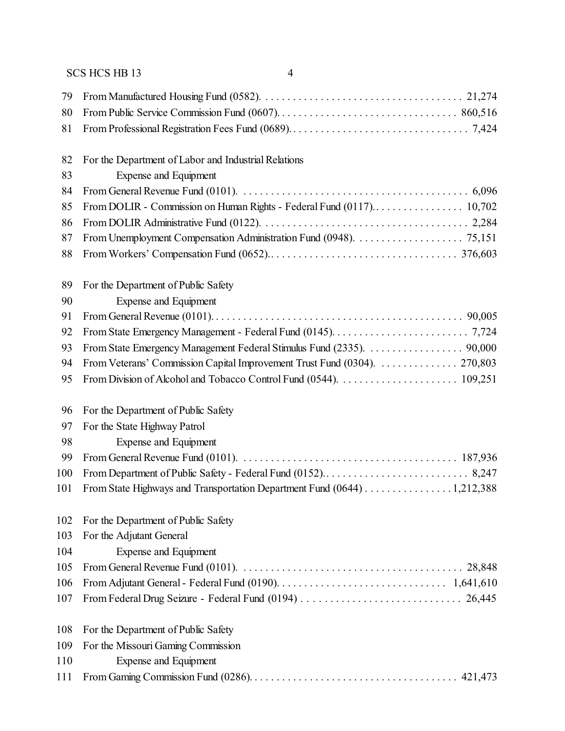| 79  |                                                                          |
|-----|--------------------------------------------------------------------------|
| 80  |                                                                          |
| 81  |                                                                          |
| 82  | For the Department of Labor and Industrial Relations                     |
| 83  | Expense and Equipment                                                    |
| 84  |                                                                          |
| 85  |                                                                          |
| 86  |                                                                          |
| 87  |                                                                          |
| 88  |                                                                          |
| 89  | For the Department of Public Safety                                      |
| 90  | <b>Expense and Equipment</b>                                             |
| 91  |                                                                          |
| 92  |                                                                          |
| 93  | From State Emergency Management Federal Stimulus Fund (2335). 90,000     |
| 94  | From Veterans' Commission Capital Improvement Trust Fund (0304). 270,803 |
| 95  |                                                                          |
| 96  | For the Department of Public Safety                                      |
| 97  | For the State Highway Patrol                                             |
| 98  | Expense and Equipment                                                    |
| 99  |                                                                          |
| 100 |                                                                          |
| 101 | From State Highways and Transportation Department Fund (0644) 1,212,388  |
| 102 | For the Department of Public Safety                                      |
| 103 | For the Adjutant General                                                 |
| 104 | <b>Expense and Equipment</b>                                             |
| 105 |                                                                          |
| 106 |                                                                          |
| 107 |                                                                          |
| 108 | For the Department of Public Safety                                      |
| 109 | For the Missouri Gaming Commission                                       |
| 110 | <b>Expense and Equipment</b>                                             |
| 111 |                                                                          |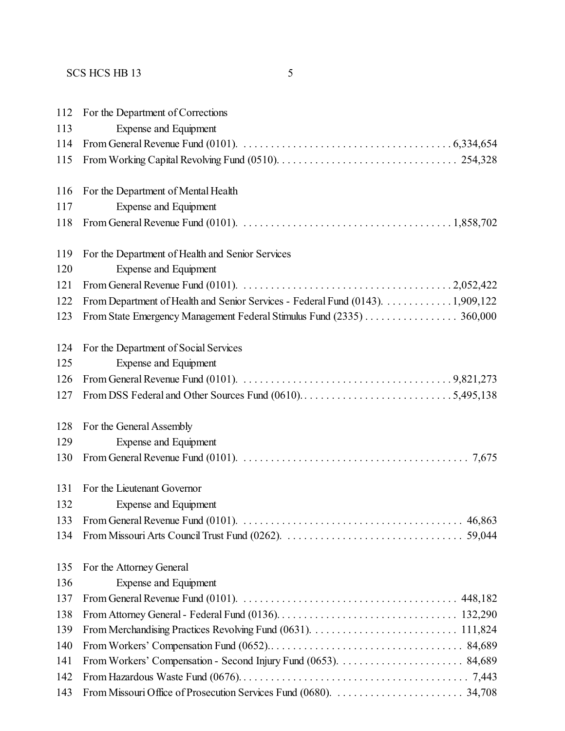| 112 | For the Department of Corrections                                                                                                          |
|-----|--------------------------------------------------------------------------------------------------------------------------------------------|
| 113 | Expense and Equipment                                                                                                                      |
| 114 | From General Revenue Fund (0101). $\ldots \ldots \ldots \ldots \ldots \ldots \ldots \ldots \ldots \ldots \ldots \ldots$ 6,334,654          |
| 115 |                                                                                                                                            |
| 116 | For the Department of Mental Health                                                                                                        |
| 117 | <b>Expense and Equipment</b>                                                                                                               |
| 118 | From General Revenue Fund (0101). $\ldots \ldots \ldots \ldots \ldots \ldots \ldots \ldots \ldots \ldots \ldots \ldots \ldots 1,858,702$   |
| 119 | For the Department of Health and Senior Services                                                                                           |
| 120 | <b>Expense and Equipment</b>                                                                                                               |
| 121 |                                                                                                                                            |
| 122 | From Department of Health and Senior Services - Federal Fund (0143). 1,909,122                                                             |
| 123 | From State Emergency Management Federal Stimulus Fund (2335) 360,000                                                                       |
| 124 | For the Department of Social Services                                                                                                      |
| 125 | Expense and Equipment                                                                                                                      |
| 126 | From General Revenue Fund (0101). $\ldots \ldots \ldots \ldots \ldots \ldots \ldots \ldots \ldots \ldots \ldots \ldots \ldots$ . 9,821,273 |
| 127 |                                                                                                                                            |
| 128 | For the General Assembly                                                                                                                   |
| 129 | Expense and Equipment                                                                                                                      |
| 130 |                                                                                                                                            |
| 131 | For the Lieutenant Governor                                                                                                                |
| 132 | Expense and Equipment                                                                                                                      |
| 133 | From General Revenue Fund (0101).<br>46,863                                                                                                |
| 134 |                                                                                                                                            |
| 135 | For the Attorney General                                                                                                                   |
| 136 | <b>Expense and Equipment</b>                                                                                                               |
| 137 |                                                                                                                                            |
| 138 |                                                                                                                                            |
| 139 |                                                                                                                                            |
| 140 |                                                                                                                                            |
| 141 |                                                                                                                                            |
| 142 |                                                                                                                                            |
| 143 |                                                                                                                                            |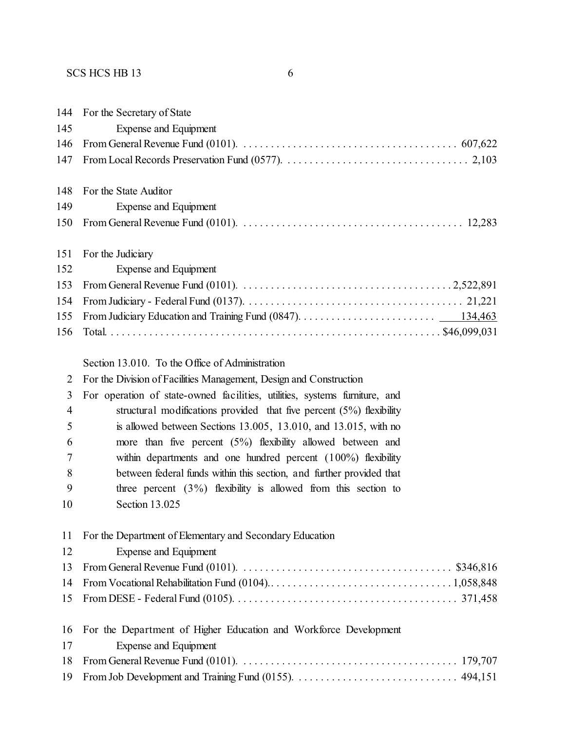| 144                      | For the Secretary of State                                                                                          |
|--------------------------|---------------------------------------------------------------------------------------------------------------------|
| 145                      | Expense and Equipment                                                                                               |
| 146                      |                                                                                                                     |
| 147                      |                                                                                                                     |
| 148                      | For the State Auditor                                                                                               |
| 149                      | Expense and Equipment                                                                                               |
| 150                      |                                                                                                                     |
| 151                      | For the Judiciary                                                                                                   |
| 152                      | <b>Expense and Equipment</b>                                                                                        |
| 153                      |                                                                                                                     |
| 154                      |                                                                                                                     |
| 155                      |                                                                                                                     |
| 156                      |                                                                                                                     |
|                          | Section 13.010. To the Office of Administration                                                                     |
| $\overline{2}$           | For the Division of Facilities Management, Design and Construction                                                  |
| 3                        | For operation of state-owned facilities, utilities, systems furniture, and                                          |
| $\overline{\mathcal{A}}$ | structural modifications provided that five percent $(5%)$ flexibility                                              |
| 5                        | is allowed between Sections $13.005$ , $13.010$ , and $13.015$ , with no                                            |
| 6                        | more than five percent $(5%)$ flexibility allowed between and                                                       |
| 7                        | within departments and one hundred percent $(100\%)$ flexibility                                                    |
| 8                        | between federal funds within this section, and further provided that                                                |
| 9                        | three percent $(3\%)$ flexibility is allowed from this section to                                                   |
| 10                       | Section 13.025                                                                                                      |
| 11                       | For the Department of Elementary and Secondary Education                                                            |
| 12                       | <b>Expense and Equipment</b>                                                                                        |
| 13                       | From General Revenue Fund (0101). $\ldots \ldots \ldots \ldots \ldots \ldots \ldots \ldots \ldots \ldots$ \$346,816 |
| 14                       |                                                                                                                     |
| 15                       |                                                                                                                     |
| 16                       | For the Department of Higher Education and Workforce Development                                                    |
| 17                       | Expense and Equipment                                                                                               |
| 18                       |                                                                                                                     |
| 19                       |                                                                                                                     |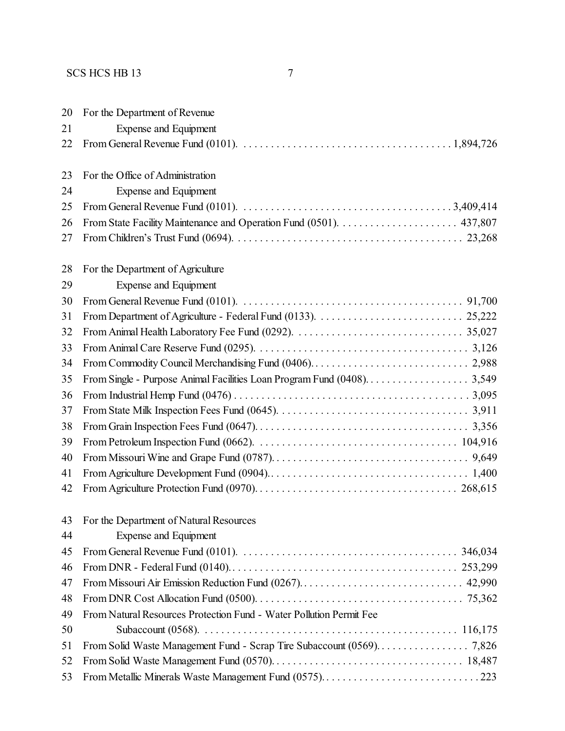| 20 | For the Department of Revenue                                                                                                            |
|----|------------------------------------------------------------------------------------------------------------------------------------------|
| 21 | Expense and Equipment                                                                                                                    |
| 22 | From General Revenue Fund (0101). $\ldots \ldots \ldots \ldots \ldots \ldots \ldots \ldots \ldots \ldots \ldots \ldots \ldots 1,894,726$ |
|    |                                                                                                                                          |
| 23 | For the Office of Administration                                                                                                         |
| 24 | Expense and Equipment                                                                                                                    |
| 25 |                                                                                                                                          |
| 26 |                                                                                                                                          |
| 27 |                                                                                                                                          |
| 28 | For the Department of Agriculture                                                                                                        |
| 29 | <b>Expense and Equipment</b>                                                                                                             |
| 30 |                                                                                                                                          |
| 31 |                                                                                                                                          |
| 32 |                                                                                                                                          |
| 33 |                                                                                                                                          |
| 34 |                                                                                                                                          |
| 35 |                                                                                                                                          |
| 36 |                                                                                                                                          |
| 37 |                                                                                                                                          |
| 38 |                                                                                                                                          |
| 39 |                                                                                                                                          |
| 40 |                                                                                                                                          |
| 41 |                                                                                                                                          |
| 42 |                                                                                                                                          |
|    | 43 For the Department of Natural Resources                                                                                               |
| 44 | <b>Expense and Equipment</b>                                                                                                             |
| 45 | From General Revenue Fund (0101). $\ldots \ldots \ldots \ldots \ldots \ldots \ldots \ldots \ldots \ldots \ldots \ldots \ldots$ 346,034   |
| 46 |                                                                                                                                          |
| 47 |                                                                                                                                          |
| 48 |                                                                                                                                          |
| 49 | From Natural Resources Protection Fund - Water Pollution Permit Fee                                                                      |
| 50 |                                                                                                                                          |
| 51 |                                                                                                                                          |
| 52 |                                                                                                                                          |
| 53 | From Metallic Minerals Waste Management Fund (0575)223                                                                                   |
|    |                                                                                                                                          |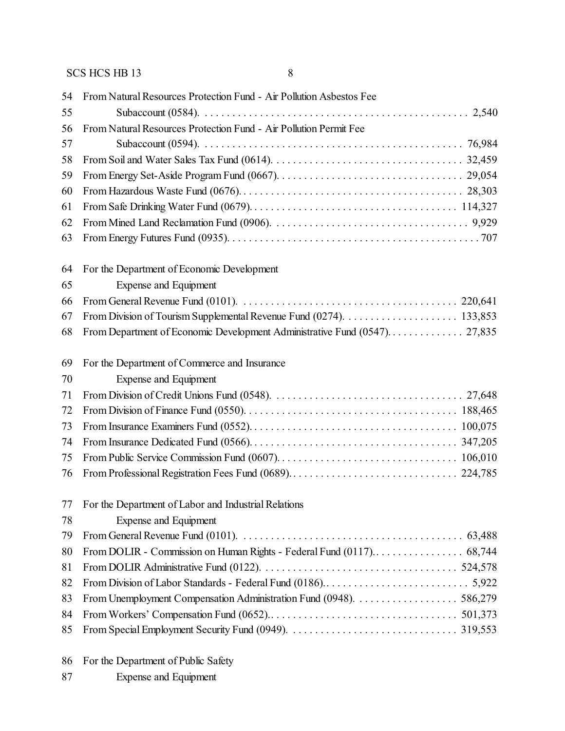| 54 | From Natural Resources Protection Fund - Air Pollution Asbestos Fee |
|----|---------------------------------------------------------------------|
| 55 |                                                                     |
| 56 | From Natural Resources Protection Fund - Air Pollution Permit Fee   |
| 57 |                                                                     |
| 58 |                                                                     |
| 59 |                                                                     |
| 60 |                                                                     |
| 61 |                                                                     |
| 62 |                                                                     |
| 63 |                                                                     |
| 64 | For the Department of Economic Development                          |
| 65 | Expense and Equipment                                               |
| 66 |                                                                     |
| 67 |                                                                     |
| 68 |                                                                     |
| 69 | For the Department of Commerce and Insurance                        |
| 70 | Expense and Equipment                                               |
| 71 |                                                                     |
| 72 |                                                                     |
| 73 |                                                                     |
| 74 |                                                                     |
| 75 |                                                                     |
| 76 |                                                                     |
|    | 77 For the Department of Labor and Industrial Relations             |
| 78 | Expense and Equipment                                               |
| 79 |                                                                     |
| 80 |                                                                     |
| 81 |                                                                     |
| 82 |                                                                     |
| 83 | From Unemployment Compensation Administration Fund (0948). 586,279  |
| 84 |                                                                     |
| 85 |                                                                     |
|    |                                                                     |

- For the Department of Public Safety
- Expense and Equipment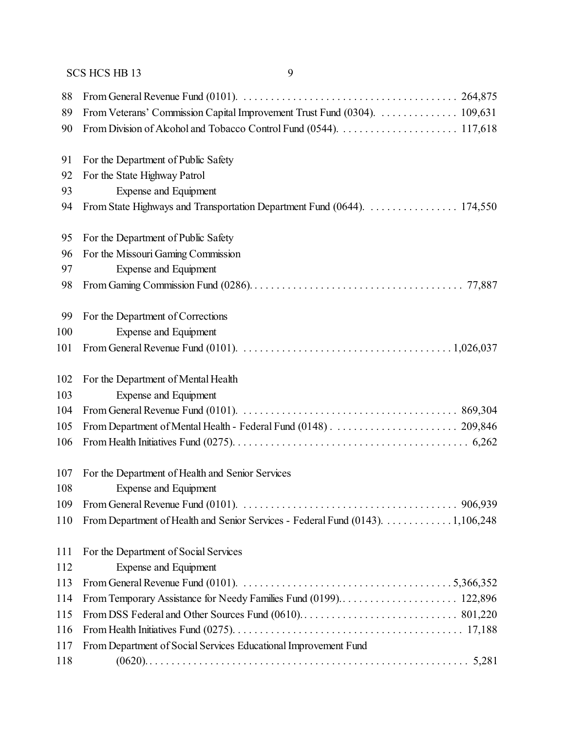| 88  |                                                                                                                                          |
|-----|------------------------------------------------------------------------------------------------------------------------------------------|
| 89  | From Veterans' Commission Capital Improvement Trust Fund (0304). 109,631                                                                 |
| 90  |                                                                                                                                          |
| 91  | For the Department of Public Safety                                                                                                      |
| 92  | For the State Highway Patrol                                                                                                             |
| 93  | <b>Expense and Equipment</b>                                                                                                             |
| 94  | From State Highways and Transportation Department Fund (0644). 174,550                                                                   |
| 95  | For the Department of Public Safety                                                                                                      |
| 96  | For the Missouri Gaming Commission                                                                                                       |
| 97  | Expense and Equipment                                                                                                                    |
| 98  |                                                                                                                                          |
| 99  | For the Department of Corrections                                                                                                        |
| 100 | <b>Expense and Equipment</b>                                                                                                             |
| 101 | From General Revenue Fund (0101). $\ldots \ldots \ldots \ldots \ldots \ldots \ldots \ldots \ldots \ldots \ldots \ldots \ldots 1,026,037$ |
| 102 | For the Department of Mental Health                                                                                                      |
| 103 | <b>Expense and Equipment</b>                                                                                                             |
| 104 |                                                                                                                                          |
| 105 |                                                                                                                                          |
| 106 |                                                                                                                                          |
| 107 | For the Department of Health and Senior Services                                                                                         |
| 108 | Expense and Equipment                                                                                                                    |
| 109 |                                                                                                                                          |
| 110 | From Department of Health and Senior Services - Federal Fund (0143). 1,106,248                                                           |
| 111 | For the Department of Social Services                                                                                                    |
| 112 | Expense and Equipment                                                                                                                    |
| 113 | From General Revenue Fund (0101). $\ldots \ldots \ldots \ldots \ldots \ldots \ldots \ldots \ldots \ldots \ldots \ldots \ldots$ 5,366,352 |
| 114 |                                                                                                                                          |
| 115 |                                                                                                                                          |
| 116 |                                                                                                                                          |
| 117 | From Department of Social Services Educational Improvement Fund                                                                          |
| 118 |                                                                                                                                          |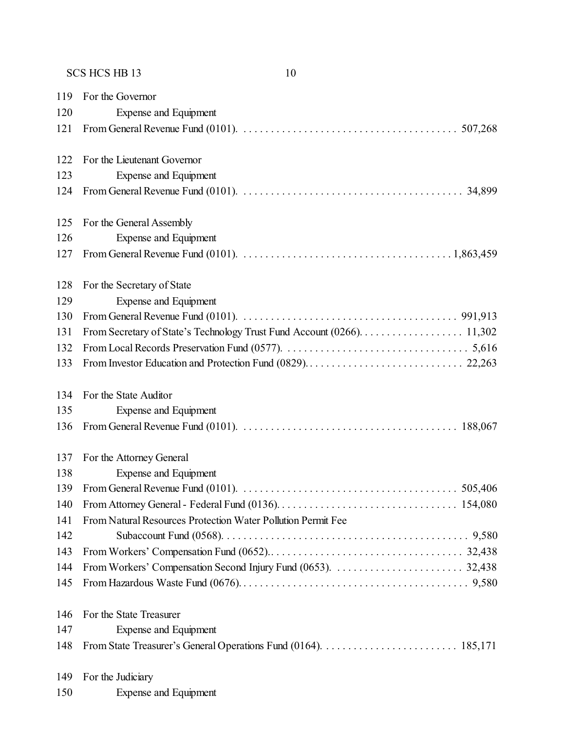For the Governor Expense and Equipment From General Revenue Fund (0101). . . . . . . . . . . . . . . . . . . . . . . . . . . . . . . . . . . . . . . . 507,268 For the Lieutenant Governor Expense and Equipment From General Revenue Fund (0101). . . . . . . . . . . . . . . . . . . . . . . . . . . . . . . . . . . . . . . . . 34,899 For the General Assembly Expense and Equipment From General Revenue Fund (0101). . . . . . . . . . . . . . . . . . . . . . . . . . . . . . . . . . . . . . . 1,863,459 For the Secretary of State Expense and Equipment From General Revenue Fund (0101). . . . . . . . . . . . . . . . . . . . . . . . . . . . . . . . . . . . . . . . 991,913 From Secretary of State's Technology Trust Fund Account (0266). . . . . . . . . . . . . . . . . . . 11,302 From Local Records Preservation Fund (0577). . . . . . . . . . . . . . . . . . . . . . . . . . . . . . . . . . 5,616 From Investor Education and Protection Fund (0829). . . . . . . . . . . . . . . . . . . . . . . . . . . . . 22,263 For the State Auditor Expense and Equipment From General Revenue Fund (0101). . . . . . . . . . . . . . . . . . . . . . . . . . . . . . . . . . . . . . . . 188,067 For the Attorney General Expense and Equipment From General Revenue Fund (0101). . . . . . . . . . . . . . . . . . . . . . . . . . . . . . . . . . . . . . . . 505,406 From Attorney General- Federal Fund (0136). . . . . . . . . . . . . . . . . . . . . . . . . . . . . . . . . 154,080 From Natural Resources Protection Water Pollution Permit Fee Subaccount Fund (0568). . . . . . . . . . . . . . . . . . . . . . . . . . . . . . . . . . . . . . . . . . . . . 9,580 From Workers' Compensation Fund (0652).. . . . . . . . . . . . . . . . . . . . . . . . . . . . . . . . . . . 32,438 From Workers' Compensation Second Injury Fund (0653). . . . . . . . . . . . . . . . . . . . . . . . 32,438 From Hazardous Waste Fund (0676). . . . . . . . . . . . . . . . . . . . . . . . . . . . . . . . . . . . . . . . . . 9,580 For the State Treasurer Expense and Equipment From State Treasurer's General Operations Fund (0164). . . . . . . . . . . . . . . . . . . . . . . . . 185,171 For the Judiciary

Expense and Equipment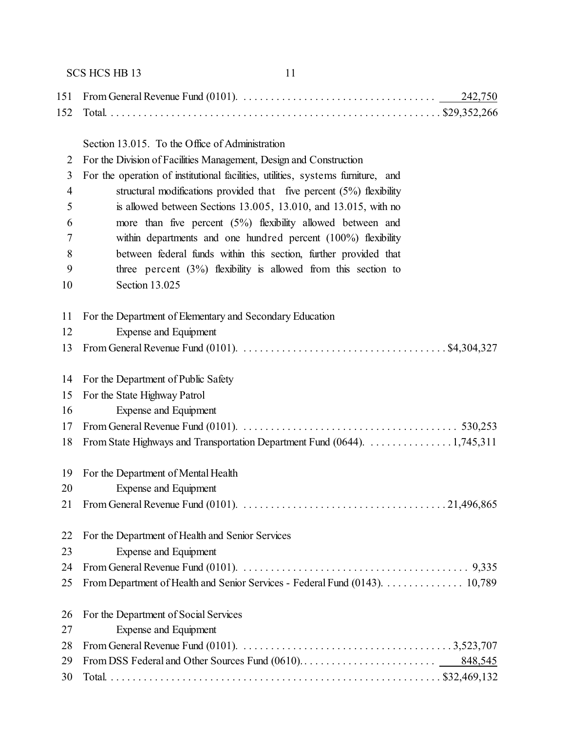SCS HCS HB 13 11 From General Revenue Fund (0101). . . . . . . . . . . . . . . . . . . . . . . . . . . . . . . . . . . . 242,750 Total. . . . . . . . . . . . . . . . . . . . . . . . . . . . . . . . . . . . . . . . . . . . . . . . . . . . . . . . . . . . . \$29,352,266 Section 13.015. To the Office of Administration For the Division of Facilities Management, Design and Construction For the operation of institutional facilities, utilities, systems furniture, and structural modifications provided that five percent (5%) flexibility is allowed between Sections 13.005, 13.010, and 13.015, with no more than five percent (5%) flexibility allowed between and within departments and one hundred percent (100%) flexibility between federal funds within this section, further provided that three percent (3%) flexibility is allowed from this section to Section 13.025 For the Department of Elementary and Secondary Education Expense and Equipment From General Revenue Fund (0101). . . . . . . . . . . . . . . . . . . . . . . . . . . . . . . . . . . . . . \$4,304,327 For the Department of Public Safety For the State Highway Patrol Expense and Equipment From General Revenue Fund (0101). . . . . . . . . . . . . . . . . . . . . . . . . . . . . . . . . . . . . . . . 530,253 From State Highways and Transportation Department Fund (0644). . . . . . . . . . . . . . . . 1,745,311 For the Department of Mental Health Expense and Equipment From General Revenue Fund (0101). . . . . . . . . . . . . . . . . . . . . . . . . . . . . . . . . . . . . . 21,496,865 For the Department of Health and Senior Services Expense and Equipment From General Revenue Fund (0101). . . . . . . . . . . . . . . . . . . . . . . . . . . . . . . . . . . . . . . . . . 9,335 From Department of Health and Senior Services - Federal Fund (0143). . . . . . . . . . . . . . . 10,789 For the Department of Social Services Expense and Equipment From General Revenue Fund (0101). . . . . . . . . . . . . . . . . . . . . . . . . . . . . . . . . . . . . . . 3,523,707 From DSS Federal and Other Sources Fund (0610). . . . . . . . . . . . . . . . . . . . . . . . . 848,545 Total. . . . . . . . . . . . . . . . . . . . . . . . . . . . . . . . . . . . . . . . . . . . . . . . . . . . . . . . . . . . . \$32,469,132